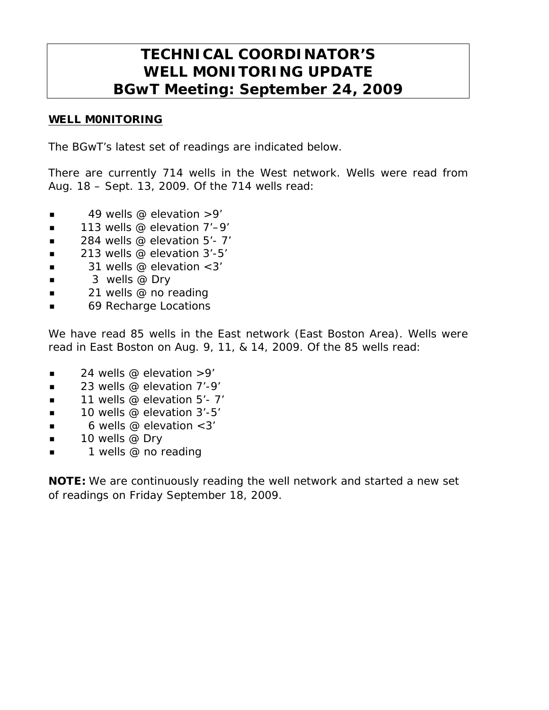# **TECHNICAL COORDINATOR'S WELL MONITORING UPDATE BGwT Meeting: September 24, 2009**

#### WELL M0NITORING

The BGwT's latest set of readings are indicated below.

There are currently 714 wells in the West network. Wells were read from Aug. 18 – Sept. 13, 2009. Of the 714 wells read:

- $\blacksquare$  49 wells @ elevation > 9'
- $\blacksquare$  113 wells @ elevation 7'-9'
- $\blacksquare$  284 wells @ elevation 5'-7'
- $\blacksquare$  213 wells @ elevation 3'-5'
- $\blacksquare$  31 wells @ elevation < 3'
- $\blacksquare$  3 wells @ Dry
- **21** wells @ no reading
- 69 Recharge Locations

We have read 85 wells in the East network (East Boston Area). Wells were read in East Boston on Aug. 9, 11, & 14, 2009. Of the 85 wells read:

- 24 wells @ elevation >9'
- $\blacksquare$  23 wells @ elevation 7'-9'
- 11 wells @ elevation 5'- 7'
- $\blacksquare$  10 wells @ elevation 3'-5'
- $\blacksquare$  6 wells @ elevation < 3'
- $\blacksquare$  10 wells @ Dry
- 1 wells @ no reading

NOTE: We are continuously reading the well network and started a new set of readings on Friday September 18, 2009.